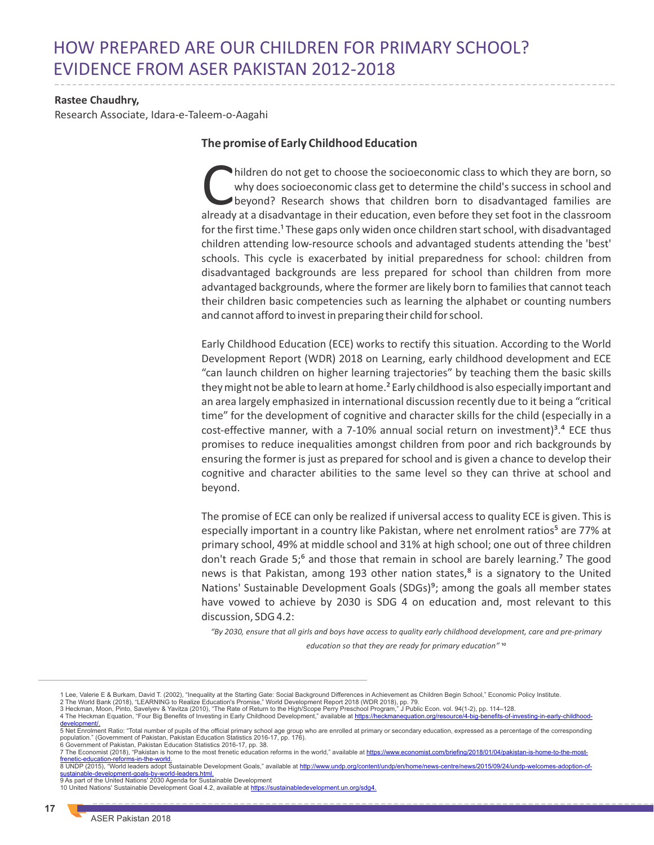# HOW PREPARED ARE OUR CHILDREN FOR PRIMARY SCHOOL? EVIDENCE FROM ASER PAKISTAN 2012-2018

#### **Rastee Chaudhry,**

Research Associate, Idara-e-Taleem-o-Aagahi

### **The promise of Early Childhood Education**

hildren do not get to choose the socioeconomic class to which they are born, so Cwhy does socioeconomic class get to determine the child's success in school and beyond? Research shows that children born to disadvantaged families are already at a disadvantage in their education, even before they set foot in the classroom for the first time.<sup>1</sup> These gaps only widen once children start school, with disadvantaged children attending low-resource schools and advantaged students attending the 'best' schools. This cycle is exacerbated by initial preparedness for school: children from disadvantaged backgrounds are less prepared for school than children from more advantaged backgrounds, where the former are likely born to families that cannot teach their children basic competencies such as learning the alphabet or counting numbers and cannot afford to invest in preparing their child for school.

Early Childhood Education (ECE) works to rectify this situation. According to the World Development Report (WDR) 2018 on Learning, early childhood development and ECE "can launch children on higher learning trajectories" by teaching them the basic skills they might not be able to learn at home.² Early childhood is also especially important and an area largely emphasized in international discussion recently due to it being a "critical time" for the development of cognitive and character skills for the child (especially in a cost-effective manner, with a 7-10% annual social return on investment)<sup>3</sup>.<sup>4</sup> ECE thus promises to reduce inequalities amongst children from poor and rich backgrounds by ensuring the former is just as prepared for school and is given a chance to develop their cognitive and character abilities to the same level so they can thrive at school and beyond.

The promise of ECE can only be realized if universal access to quality ECE is given. This is especially important in a country like Pakistan, where net enrolment ratios<sup>5</sup> are 77% at primary school, 49% at middle school and 31% at high school; one out of three children don't reach Grade 5;<sup>6</sup> and those that remain in school are barely learning.<sup>7</sup> The good news is that Pakistan, among 193 other nation states, $<sup>8</sup>$  is a signatory to the United</sup> Nations' Sustainable Development Goals (SDGs)<sup>9</sup>; among the goals all member states have vowed to achieve by 2030 is SDG 4 on education and, most relevant to this discussion, SDG 4.2:

*"By 2030, ensure that all girls and boys have access to quality early childhood development, care and pre-primary education so that they are ready for primary education"* 

4 The Heckman Equation, "Four Big Benefits of Investing in Early Childhood Development," available at [https://heckmanequation.org/resource/4-big-benefits-of-investing-in-early-childhood](https://heckmanequation.org/resource/4-big-benefits-of-investing-in-early-childhood-development/)[development/.](https://heckmanequation.org/resource/4-big-benefits-of-investing-in-early-childhood-development/) 

<sup>1</sup> Lee, Valerie E & Burkam, David T. (2002), "Inequality at the Starting Gate: Social Background Differences in Achievement as Children Begin School," Economic Policy Institute.

<sup>2</sup> The World Bank (2018), "LEARNING to Realize Education's Promise," World Development Report 2018 (WDR 2018), pp. 79.<br>3 Heckman, Moon, Pinto, Savelyev & Yavitza (2010), "The Rate of Return to the High/Scope Perry Preschool

<sup>5</sup> Net Enrolment Ratio: "Total number of pupils of the official primary school age group who are enrolled at primary or secondary education, expressed as a percentage of the corresponding population." (Government of Pakistan, Pakistan Education Statistics 2016-17, pp. 176).

<sup>6</sup> Government of Pakistan, Pakistan Education Statistics 2016-17, pp. 38.<br>7 The Economist (2018), "Pakistan is home to the most frenetic education reforms in the world," available at <u>https://www.economist.com/briefing/2018</u> [frenetic-education-reforms-in-the-world.](https://www.economist.com/briefing/2018/01/04/pakistan-is-home-to-the-most-frenetic-education-reforms-in-the-world)

<sup>8</sup> UNDP (2015), "World leaders adopt Sustainable Development Goals," available at http://www.und <u>[sustainable-development-goals-by-world-leaders.html.](http://www.undp.org/content/undp/en/home/news-centre/news/2015/09/24/undp-welcomes-adoption-of-sustainable-development-goals-by-world-leaders.html)</u><br>9 As part of the United Nations' 2030 Agenda for Sustainable Development

<sup>10</sup> United Nations' Sustainable Development Goal 4.2, available at [https://sustainabledevelopment.un.org/sdg4.](https://sustainabledevelopment.un.org/sdg4)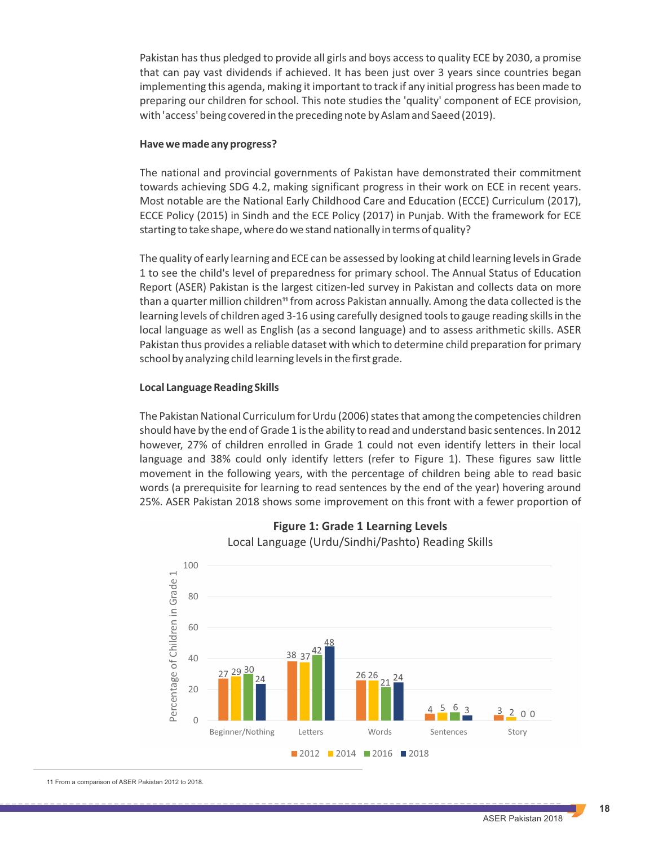Pakistan has thus pledged to provide all girls and boys access to quality ECE by 2030, a promise that can pay vast dividends if achieved. It has been just over 3 years since countries began implementing this agenda, making it important to track if any initial progress has been made to preparing our children for school. This note studies the 'quality' component of ECE provision, with 'access' being covered in the preceding note by Aslam and Saeed (2019).

#### **Have we made any progress?**

The national and provincial governments of Pakistan have demonstrated their commitment towards achieving SDG 4.2, making significant progress in their work on ECE in recent years. Most notable are the National Early Childhood Care and Education (ECCE) Curriculum (2017), ECCE Policy (2015) in Sindh and the ECE Policy (2017) in Punjab. With the framework for ECE starting to take shape, where do we stand nationally in terms of quality?

The quality of early learning and ECE can be assessed by looking at child learning levels in Grade 1 to see the child's level of preparedness for primary school. The Annual Status of Education Report (ASER) Pakistan is the largest citizen-led survey in Pakistan and collects data on more than a quarter million children<sup>11</sup> from across Pakistan annually. Among the data collected is the learning levels of children aged 3-16 using carefully designed tools to gauge reading skills in the local language as well as English (as a second language) and to assess arithmetic skills. ASER Pakistan thus provides a reliable dataset with which to determine child preparation for primary school by analyzing child learning levels in the first grade.

#### **Local Language Reading Skills**

The Pakistan National Curriculum for Urdu (2006) states that among the competencies children should have by the end of Grade 1 is the ability to read and understand basic sentences. In 2012 however, 27% of children enrolled in Grade 1 could not even identify letters in their local language and 38% could only identify letters (refer to Figure 1). These figures saw little movement in the following years, with the percentage of children being able to read basic words (a prerequisite for learning to read sentences by the end of the year) hovering around 25%. ASER Pakistan 2018 shows some improvement on this front with a fewer proportion of





11 From a comparison of ASER Pakistan 2012 to 2018.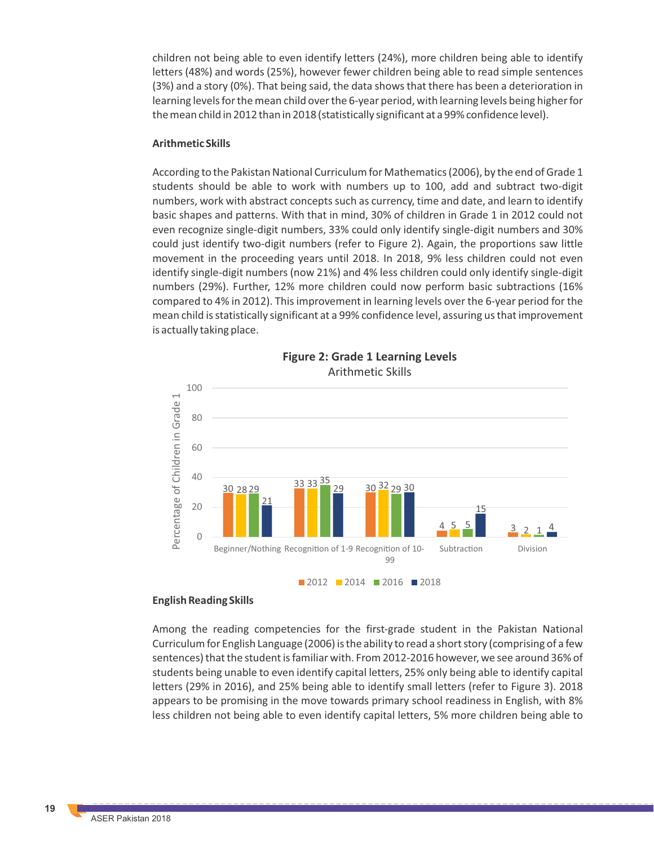children not being able to even identify letters (24%), more children being able to identify letters (48%) and words (25%), however fewer children being able to read simple sentences (3%) and a story (0%). That being said, the data shows that there has been a deterioration in learning levels for the mean child over the 6-year period, with learning levels being higher for the mean child in 2012 than in 2018 (statistically significant at a 99% confidence level).

#### **Arithmetic Skills**

According to the Pakistan National Curriculum for Mathematics (2006), by the end of Grade 1 students should be able to work with numbers up to 100, add and subtract two-digit numbers, work with abstract concepts such as currency, time and date, and learn to identify basic shapes and patterns. With that in mind, 30% of children in Grade 1 in 2012 could not even recognize single-digit numbers, 33% could only identify single-digit numbers and 30% could just identify two-digit numbers (refer to Figure 2). Again, the proportions saw little movement in the proceeding years until 2018. In 2018, 9% less children could not even identify single-digit numbers (now 21%) and 4% less children could only identify single-digit numbers (29%). Further, 12% more children could now perform basic subtractions (16% compared to 4% in 2012). This improvement in learning levels over the 6-year period for the mean child is statistically significant at a 99% confidence level, assuring us that improvement is actually taking place.



**Figure 2: Grade 1 Learning Levels** Arithmetic Skills

#### **English Reading Skills**

Among the reading competencies for the first-grade student in the Pakistan National Curriculum for English Language (2006) is the ability to read a short story (comprising of a few sentences) that the student is familiar with. From 2012-2016 however, we see around 36% of students being unable to even identify capital letters, 25% only being able to identify capital letters (29% in 2016), and 25% being able to identify small letters (refer to Figure 3). 2018 appears to be promising in the move towards primary school readiness in English, with 8% less children not being able to even identify capital letters, 5% more children being able to